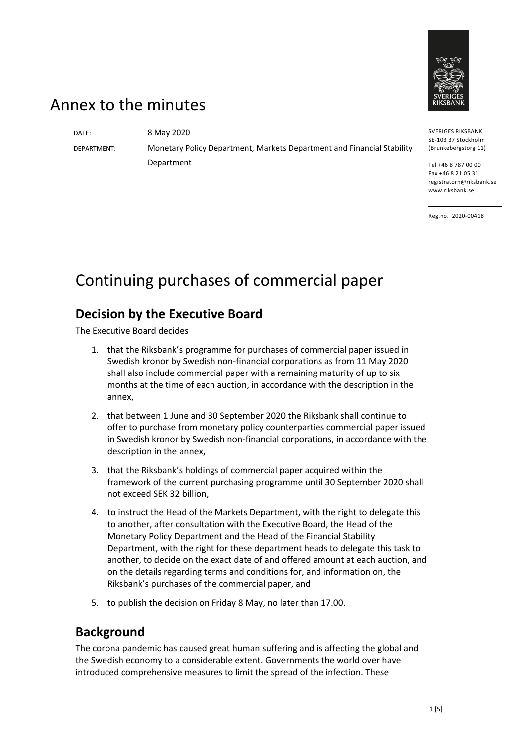

## Annex to the minutes

DATE: 8 May 2020

DEPARTMENT: Monetary Policy Department, Markets Department and Financial Stability Department

SE-103 37 Stockholm (Brunkebergstorg 11)

SVERIGES RIKSBANK

Tel +46 8 787 00 00 Fax +46 8 21 05 31 registratorn@riksbank.se www.riksbank.se

Reg.no. 2020-00418

# Continuing purchases of commercial paper

#### **Decision by the Executive Board**

The Executive Board decides

- 1. that the Riksbank's programme for purchases of commercial paper issued in Swedish kronor by Swedish non-financial corporations as from 11 May 2020 shall also include commercial paper with a remaining maturity of up to six months at the time of each auction, in accordance with the description in the annex,
- 2. that between 1 June and 30 September 2020 the Riksbank shall continue to offer to purchase from monetary policy counterparties commercial paper issued in Swedish kronor by Swedish non-financial corporations, in accordance with the description in the annex,
- 3. that the Riksbank's holdings of commercial paper acquired within the framework of the current purchasing programme until 30 September 2020 shall not exceed SEK 32 billion,
- 4. to instruct the Head of the Markets Department, with the right to delegate this to another, after consultation with the Executive Board, the Head of the Monetary Policy Department and the Head of the Financial Stability Department, with the right for these department heads to delegate this task to another, to decide on the exact date of and offered amount at each auction, and on the details regarding terms and conditions for, and information on, the Riksbank's purchases of the commercial paper, and
- 5. to publish the decision on Friday 8 May, no later than 17.00.

#### **Background**

The corona pandemic has caused great human suffering and is affecting the global and the Swedish economy to a considerable extent. Governments the world over have introduced comprehensive measures to limit the spread of the infection. These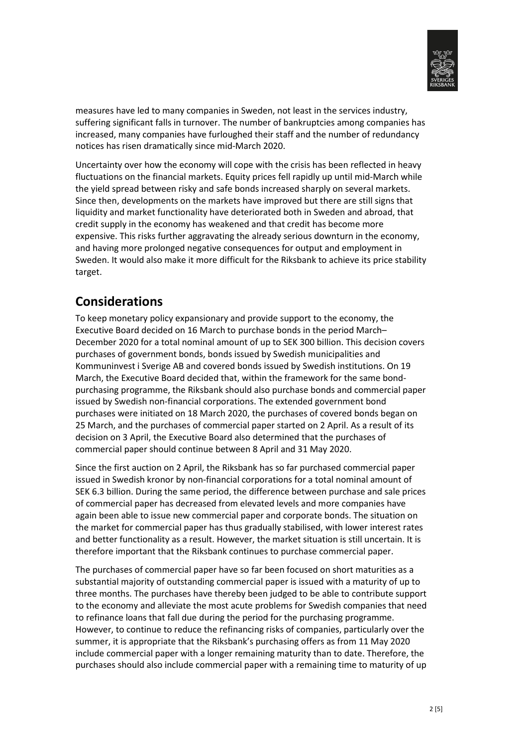

measures have led to many companies in Sweden, not least in the services industry, suffering significant falls in turnover. The number of bankruptcies among companies has increased, many companies have furloughed their staff and the number of redundancy notices has risen dramatically since mid-March 2020.

Uncertainty over how the economy will cope with the crisis has been reflected in heavy fluctuations on the financial markets. Equity prices fell rapidly up until mid-March while the yield spread between risky and safe bonds increased sharply on several markets. Since then, developments on the markets have improved but there are still signs that liquidity and market functionality have deteriorated both in Sweden and abroad, that credit supply in the economy has weakened and that credit has become more expensive. This risks further aggravating the already serious downturn in the economy, and having more prolonged negative consequences for output and employment in Sweden. It would also make it more difficult for the Riksbank to achieve its price stability target.

### **Considerations**

To keep monetary policy expansionary and provide support to the economy, the Executive Board decided on 16 March to purchase bonds in the period March– December 2020 for a total nominal amount of up to SEK 300 billion. This decision covers purchases of government bonds, bonds issued by Swedish municipalities and Kommuninvest i Sverige AB and covered bonds issued by Swedish institutions. On 19 March, the Executive Board decided that, within the framework for the same bondpurchasing programme, the Riksbank should also purchase bonds and commercial paper issued by Swedish non-financial corporations. The extended government bond purchases were initiated on 18 March 2020, the purchases of covered bonds began on 25 March, and the purchases of commercial paper started on 2 April. As a result of its decision on 3 April, the Executive Board also determined that the purchases of commercial paper should continue between 8 April and 31 May 2020.

Since the first auction on 2 April, the Riksbank has so far purchased commercial paper issued in Swedish kronor by non-financial corporations for a total nominal amount of SEK 6.3 billion. During the same period, the difference between purchase and sale prices of commercial paper has decreased from elevated levels and more companies have again been able to issue new commercial paper and corporate bonds. The situation on the market for commercial paper has thus gradually stabilised, with lower interest rates and better functionality as a result. However, the market situation is still uncertain. It is therefore important that the Riksbank continues to purchase commercial paper.

The purchases of commercial paper have so far been focused on short maturities as a substantial majority of outstanding commercial paper is issued with a maturity of up to three months. The purchases have thereby been judged to be able to contribute support to the economy and alleviate the most acute problems for Swedish companies that need to refinance loans that fall due during the period for the purchasing programme. However, to continue to reduce the refinancing risks of companies, particularly over the summer, it is appropriate that the Riksbank's purchasing offers as from 11 May 2020 include commercial paper with a longer remaining maturity than to date. Therefore, the purchases should also include commercial paper with a remaining time to maturity of up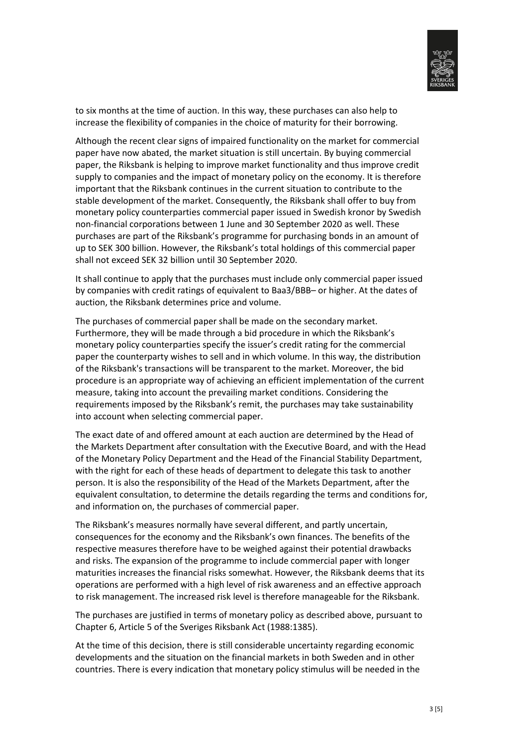

to six months at the time of auction. In this way, these purchases can also help to increase the flexibility of companies in the choice of maturity for their borrowing.

Although the recent clear signs of impaired functionality on the market for commercial paper have now abated, the market situation is still uncertain. By buying commercial paper, the Riksbank is helping to improve market functionality and thus improve credit supply to companies and the impact of monetary policy on the economy. It is therefore important that the Riksbank continues in the current situation to contribute to the stable development of the market. Consequently, the Riksbank shall offer to buy from monetary policy counterparties commercial paper issued in Swedish kronor by Swedish non-financial corporations between 1 June and 30 September 2020 as well. These purchases are part of the Riksbank's programme for purchasing bonds in an amount of up to SEK 300 billion. However, the Riksbank's total holdings of this commercial paper shall not exceed SEK 32 billion until 30 September 2020.

It shall continue to apply that the purchases must include only commercial paper issued by companies with credit ratings of equivalent to Baa3/BBB– or higher. At the dates of auction, the Riksbank determines price and volume.

The purchases of commercial paper shall be made on the secondary market. Furthermore, they will be made through a bid procedure in which the Riksbank's monetary policy counterparties specify the issuer's credit rating for the commercial paper the counterparty wishes to sell and in which volume. In this way, the distribution of the Riksbank's transactions will be transparent to the market. Moreover, the bid procedure is an appropriate way of achieving an efficient implementation of the current measure, taking into account the prevailing market conditions. Considering the requirements imposed by the Riksbank's remit, the purchases may take sustainability into account when selecting commercial paper.

The exact date of and offered amount at each auction are determined by the Head of the Markets Department after consultation with the Executive Board, and with the Head of the Monetary Policy Department and the Head of the Financial Stability Department, with the right for each of these heads of department to delegate this task to another person. It is also the responsibility of the Head of the Markets Department, after the equivalent consultation, to determine the details regarding the terms and conditions for, and information on, the purchases of commercial paper.

The Riksbank's measures normally have several different, and partly uncertain, consequences for the economy and the Riksbank's own finances. The benefits of the respective measures therefore have to be weighed against their potential drawbacks and risks. The expansion of the programme to include commercial paper with longer maturities increases the financial risks somewhat. However, the Riksbank deems that its operations are performed with a high level of risk awareness and an effective approach to risk management. The increased risk level is therefore manageable for the Riksbank.

The purchases are justified in terms of monetary policy as described above, pursuant to Chapter 6, Article 5 of the Sveriges Riksbank Act (1988:1385).

At the time of this decision, there is still considerable uncertainty regarding economic developments and the situation on the financial markets in both Sweden and in other countries. There is every indication that monetary policy stimulus will be needed in the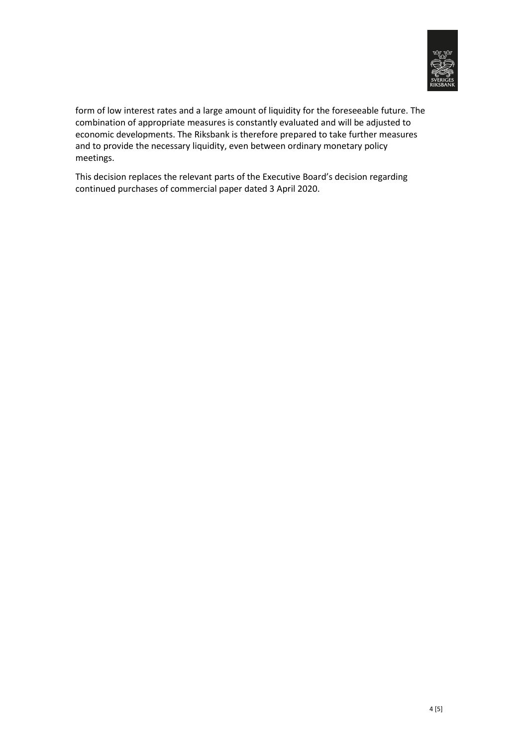

form of low interest rates and a large amount of liquidity for the foreseeable future. The combination of appropriate measures is constantly evaluated and will be adjusted to economic developments. The Riksbank is therefore prepared to take further measures and to provide the necessary liquidity, even between ordinary monetary policy meetings.

This decision replaces the relevant parts of the Executive Board's decision regarding continued purchases of commercial paper dated 3 April 2020.